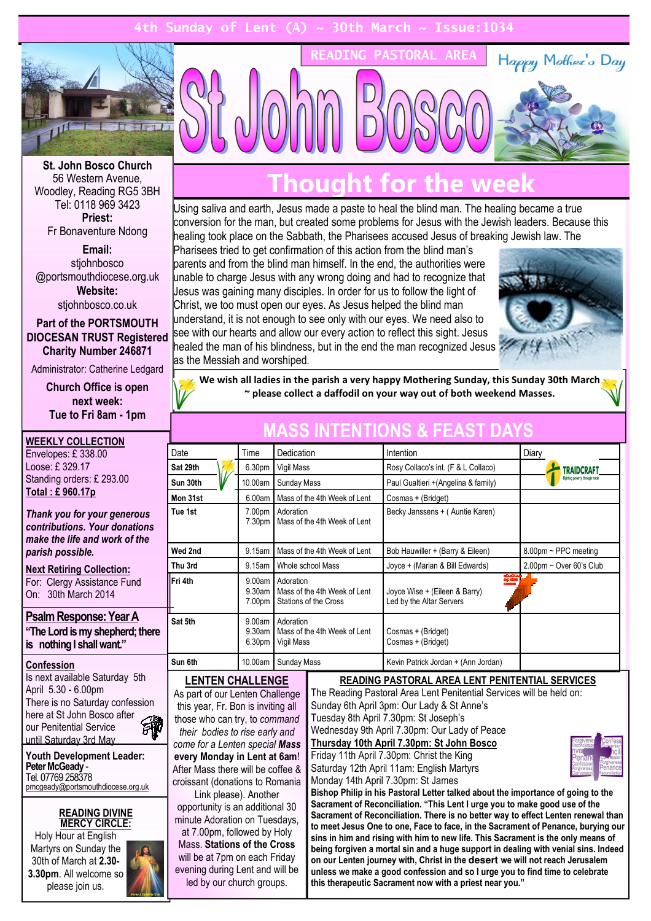### Sunday of Lent  $(A) ~ \sim$  30th March



St. John Bosco Church 56 Western Avenue, Woodley, Reading RG5 3BH Tel: 0118 969 3423 Priest:

Fr Bonaventure Ndong

Email: stiohnbosco @portsmouthdiocese.org.uk Website: stjohnbosco.co.uk

Part of the PORTSMOUTH DIOCESAN TRUST Registered Charity Number 246871

Administrator: Catherine Ledgard

Church Office is open next week: Tue to Fri 8am - 1pm

please join us.

| <b>WEEKLY COLLECTION</b>                                                                                                                                                                                                                                                                           |                                                                                                                                                                                                                                                                                                                                        |                            |                                                                                                                                                                                                                                                                                                                                                                                                            |                                                       |                                                                                                                                                                                                                                                                                                                                                     |  |
|----------------------------------------------------------------------------------------------------------------------------------------------------------------------------------------------------------------------------------------------------------------------------------------------------|----------------------------------------------------------------------------------------------------------------------------------------------------------------------------------------------------------------------------------------------------------------------------------------------------------------------------------------|----------------------------|------------------------------------------------------------------------------------------------------------------------------------------------------------------------------------------------------------------------------------------------------------------------------------------------------------------------------------------------------------------------------------------------------------|-------------------------------------------------------|-----------------------------------------------------------------------------------------------------------------------------------------------------------------------------------------------------------------------------------------------------------------------------------------------------------------------------------------------------|--|
| Envelopes: £338.00                                                                                                                                                                                                                                                                                 | Date                                                                                                                                                                                                                                                                                                                                   | Time                       | Dedication                                                                                                                                                                                                                                                                                                                                                                                                 |                                                       | Intention                                                                                                                                                                                                                                                                                                                                           |  |
| Loose: £329.17                                                                                                                                                                                                                                                                                     | Sat 29th                                                                                                                                                                                                                                                                                                                               | 6.30pm                     | Vigil Mass                                                                                                                                                                                                                                                                                                                                                                                                 |                                                       | Rosy Collaco's int. (F 8                                                                                                                                                                                                                                                                                                                            |  |
| Standing orders: £ 293.00                                                                                                                                                                                                                                                                          | Sun 30th                                                                                                                                                                                                                                                                                                                               | 10.00am<br>Sunday Mass     |                                                                                                                                                                                                                                                                                                                                                                                                            | Paul Gualtieri +(Angelin                              |                                                                                                                                                                                                                                                                                                                                                     |  |
| Total: £960.17p                                                                                                                                                                                                                                                                                    | Mon 31st                                                                                                                                                                                                                                                                                                                               | 6.00am                     |                                                                                                                                                                                                                                                                                                                                                                                                            | Mass of the 4th Week of Lent                          | Cosmas + (Bridget)                                                                                                                                                                                                                                                                                                                                  |  |
| Thank you for your generous<br>contributions. Your donations<br>make the life and work of the                                                                                                                                                                                                      | Tue 1st                                                                                                                                                                                                                                                                                                                                | 7.00pm<br>7.30pm           | Adoration<br>Mass of the 4th Week of Lent                                                                                                                                                                                                                                                                                                                                                                  |                                                       | Becky Janssens + (Au                                                                                                                                                                                                                                                                                                                                |  |
| parish possible.                                                                                                                                                                                                                                                                                   | Wed 2nd                                                                                                                                                                                                                                                                                                                                | 9.15am                     |                                                                                                                                                                                                                                                                                                                                                                                                            | Mass of the 4th Week of Lent                          | Bob Hauwiller + (Barry                                                                                                                                                                                                                                                                                                                              |  |
| <b>Next Retiring Collection:</b>                                                                                                                                                                                                                                                                   | Thu 3rd                                                                                                                                                                                                                                                                                                                                | 9.15am                     |                                                                                                                                                                                                                                                                                                                                                                                                            | Whole school Mass                                     | Joyce + (Marian & Bill I                                                                                                                                                                                                                                                                                                                            |  |
| For: Clergy Assistance Fund<br>On: 30th March 2014                                                                                                                                                                                                                                                 | Fri 4th                                                                                                                                                                                                                                                                                                                                | 9.00am<br>9.30am<br>7.00pm | Adoration                                                                                                                                                                                                                                                                                                                                                                                                  | Mass of the 4th Week of Lent<br>Stations of the Cross | Joyce Wise + (Eileen 8<br>Led by the Altar Server                                                                                                                                                                                                                                                                                                   |  |
| Psalm Response: Year A<br>"The Lord is my shepherd; there<br>is nothing I shall want."                                                                                                                                                                                                             | Sat 5th                                                                                                                                                                                                                                                                                                                                | 9.00am<br>9.30am<br>6.30pm | Adoration<br>Vigil Mass                                                                                                                                                                                                                                                                                                                                                                                    | Mass of the 4th Week of Lent                          | Cosmas + (Bridget)<br>Cosmas + (Bridget)                                                                                                                                                                                                                                                                                                            |  |
| Confession                                                                                                                                                                                                                                                                                         | Sun 6th                                                                                                                                                                                                                                                                                                                                | 10.00am                    | Sunday Mass                                                                                                                                                                                                                                                                                                                                                                                                |                                                       | Kevin Patrick Jordan +                                                                                                                                                                                                                                                                                                                              |  |
| Is next available Saturday 5th<br>April 5.30 - 6.00pm<br>There is no Saturday confession<br>here at St John Bosco after<br>our Penitential Service<br>那<br>until Saturday 3rd May<br><b>Youth Development Leader:</b><br>Peter McGeady -<br>Tel. 07769 258378<br>pmcgeady@portsmouthdiocese.org.uk | <b>LENTEN CHALLENGE</b><br>As part of our Lenten Challenge<br>this year, Fr. Bon is inviting all<br>those who can try, to command<br>their bodies to rise early and<br>come for a Lenten special Mass<br>every Monday in Lent at 6am!<br>After Mass there will be coffee &<br>croissant (donations to Romania<br>Link please). Another |                            | <b>READING PASTORAL AREA</b><br>The Reading Pastoral Area Lent Peni<br>Sunday 6th April 3pm: Our Lady & St<br>Tuesday 8th April 7.30pm: St Joseph'<br>Wednesday 9th April 7.30pm: Our La<br>Thursday 10th April 7.30pm: St Joh<br>Friday 11th April 7.30pm: Christ the K<br>Saturday 12th April 11am: English Ma<br>Monday 14th April 7.30pm: St James<br><b>Bishop Philip in his Pastoral Letter talk</b> |                                                       |                                                                                                                                                                                                                                                                                                                                                     |  |
| <b>READING DIVINE</b><br><b>MERCY CIRCLE:</b><br>Holy Hour at English<br>Martyrs on Sunday the<br>30th of March at 2.30-<br>3.30pm. All welcome so<br>plogeo ioin us                                                                                                                               | opportunity is an additional 30<br>minute Adoration on Tuesdays,<br>at 7.00pm, followed by Holy<br>Mass. Stations of the Cross<br>will be at 7pm on each Friday<br>evening during Lent and will be<br>led by our church groups.                                                                                                        |                            |                                                                                                                                                                                                                                                                                                                                                                                                            |                                                       | <b>Sacrament of Reconciliation. "This Ler</b><br>Sacrament of Reconciliation. There is r<br>to meet Jesus One to one, Face to face<br>sins in him and rising with him to new<br>being forgiven a mortal sin and a huge<br>on our Lenten journey with, Christ in th<br>unless we make a good confession and<br>this therapeutic Sacrament now with a |  |

## Thought for the week

READING PASTORAL AREA

Using saliva and earth, Jesus made a paste to heal the blind man. The healing became a true conversion for the man, but created some problems for Jesus with the Jewish leaders. Because this healing took place on the Sabbath, the Pharisees accused Jesus of breaking Jewish law. The

Pharisees tried to get confirmation of this action from the blind man's parents and from the blind man himself. In the end, the authorities were unable to charge Jesus with any wrong doing and had to recognize that Jesus was gaining many disciples. In order for us to follow the light of Christ, we too must open our eyes. As Jesus helped the blind man understand, it is not enough to see only with our eyes. We need also to see with our hearts and allow our every action to reflect this sight. Jesus healed the man of his blindness, but in the end the man recognized Jesus as the Messiah and worshiped.



Happy Mother's Day

We wish all ladies in the parish a very happy Mothering Sunday, this Sunday 30th March ~ please collect a daffodil on your way out of both weekend Masses.

| Date                                                                                             | Time                          | Dedication                                                         | Intention                                                                                   | Diary                          |  |
|--------------------------------------------------------------------------------------------------|-------------------------------|--------------------------------------------------------------------|---------------------------------------------------------------------------------------------|--------------------------------|--|
| Sat 29th<br>6.30 <sub>pm</sub><br>Vigil Mass                                                     |                               |                                                                    | Rosy Collaco's int. (F & L Collaco)                                                         | <b>TRAIDCRAFT</b>              |  |
| Sun 30th<br>10.00am<br>Sunday Mass                                                               |                               |                                                                    | Paul Gualtieri + (Angelina & family)                                                        | Fighting poverty through trade |  |
| Mon 31st<br>Mass of the 4th Week of Lent<br>6.00am                                               |                               | Cosmas + (Bridget)                                                 |                                                                                             |                                |  |
| Tue 1st                                                                                          | 7.00pm<br>7.30pm              | Adoration<br>Mass of the 4th Week of Lent                          | Becky Janssens + (Auntie Karen)                                                             |                                |  |
| Wed 2nd                                                                                          | 9.15am                        | Mass of the 4th Week of Lent                                       | Bob Hauwiller + (Barry & Eileen)                                                            | $8.00$ pm ~ PPC meeting        |  |
| Thu 3rd                                                                                          | 9.15am                        | Whole school Mass                                                  | Joyce + (Marian & Bill Edwards)                                                             | $2.00$ pm ~ Over 60's Club     |  |
| Fri 4th                                                                                          | 9.00am<br>$9.30$ am<br>7.00pm | Adoration<br>Mass of the 4th Week of Lent<br>Stations of the Cross | annacion<br>Calcidae<br>Crease<br>Joyce Wise + (Eileen & Barry)<br>Led by the Altar Servers |                                |  |
| Sat 5th<br>9.00am<br>Adoration<br>9.30am<br>Mass of the 4th Week of Lent<br>6.30pm<br>Vigil Mass |                               | Cosmas + (Bridget)<br>Cosmas + (Bridget)                           |                                                                                             |                                |  |
| Sun 6th                                                                                          | 10.00am                       | Sunday Mass                                                        | Kevin Patrick Jordan + (Ann Jordan)                                                         |                                |  |

### ENTIONS & FEAS

### TORAL AREA LENT PENITENTIAL SERVICES

Area Lent Penitential Services will be held on: Our Lady & St Anne's pm: St Joseph's .30pm: Our Lady of Peace .30pm: St John Bosco m: Christ the King am: English Martyrs



toral Letter talked about the importance of going to the ation. "This Lent I urge you to make good use of the ation. There is no better way to effect Lenten renewal than ne, Face to face, in the Sacrament of Penance, burying our ith him to new life. This Sacrament is the only means of sin and a huge support in dealing with venial sins. Indeed vith, Christ in the desert we will not reach Jerusalem confession and so I urge you to find time to celebrate this therapeutic Sacrament now with a priest near you."